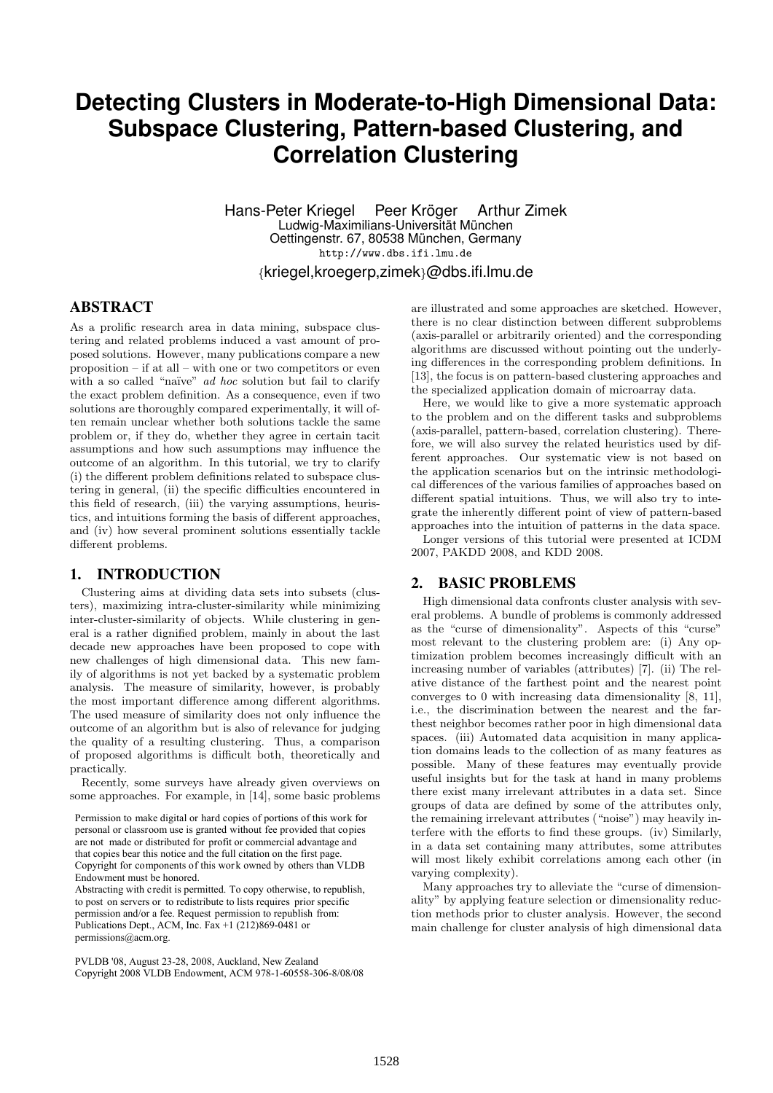# **Detecting Clusters in Moderate-to-High Dimensional Data: Subspace Clustering, Pattern-based Clustering, and Correlation Clustering**

Hans-Peter Kriegel Peer Kröger Arthur Zimek Ludwig-Maximilians-Universität München Oettingenstr. 67, 80538 München, Germany http://www.dbs.ifi.lmu.de

{kriegel,kroegerp,zimek}@dbs.ifi.lmu.de

# **ABSTRACT**

As a prolific research area in data mining, subspace clustering and related problems induced a vast amount of proposed solutions. However, many publications compare a new proposition – if at all – with one or two competitors or even with a so called "naïve" *ad hoc* solution but fail to clarify the exact problem definition. As a consequence, even if two solutions are thoroughly compared experimentally, it will often remain unclear whether both solutions tackle the same problem or, if they do, whether they agree in certain tacit assumptions and how such assumptions may influence the outcome of an algorithm. In this tutorial, we try to clarify (i) the different problem definitions related to subspace clustering in general, (ii) the specific difficulties encountered in this field of research, (iii) the varying assumptions, heuristics, and intuitions forming the basis of different approaches, and (iv) how several prominent solutions essentially tackle different problems.

#### 1. INTRODUCTION

Clustering aims at dividing data sets into subsets (clusters), maximizing intra-cluster-similarity while minimizing inter-cluster-similarity of objects. While clustering in general is a rather dignified problem, mainly in about the last decade new approaches have been proposed to cope with new challenges of high dimensional data. This new family of algorithms is not yet backed by a systematic problem analysis. The measure of similarity, however, is probably the most important difference among different algorithms. The used measure of similarity does not only influence the outcome of an algorithm but is also of relevance for judging the quality of a resulting clustering. Thus, a comparison of proposed algorithms is difficult both, theoretically and practically.

Recently, some surveys have already given overviews on some approaches. For example, in [14], some basic problems

are not made or distributed for profit or commercial advantage and that the copies are not made or distributed for direct commercial advantage, that copies bear this notice and the full citation on the first page. the version of the variable and the time the title of the public.<br>Converght for components of this work owned by others than VI DR Copyright for components of this work owned by others than VLDB<br>Endowment must be bonored Permission to make digital or hard copies of portions of this work for personal or classroom use is granted without fee provided that copies Endowment must be honored.

Endowment mast be nonored.<br>Abstracting with credit is permitted. To copy otherwise, to republish, to post on servers or to redistribute to lists requires prior specific w post on service *Permission and/or a fee. Request permission to republish from:*<br>Publishing Dart, ACM, Inc. Fee. 11.(212)860,0481 and Publications Dept., ACM, Inc. Fax  $+1$  (212)869-0481 or permissions@acm.org.

PVLDB '08, August 23-28, 2008, Auckland, New Zealand Copyright 2008 VLDB Endowment, ACM 978-1-60558-306-8/08/08

are illustrated and some approaches are sketched. However, there is no clear distinction between different subproblems (axis-parallel or arbitrarily oriented) and the corresponding algorithms are discussed without pointing out the underlying differences in the corresponding problem definitions. In [13], the focus is on pattern-based clustering approaches and the specialized application domain of microarray data.

Here, we would like to give a more systematic approach to the problem and on the different tasks and subproblems (axis-parallel, pattern-based, correlation clustering). Therefore, we will also survey the related heuristics used by different approaches. Our systematic view is not based on the application scenarios but on the intrinsic methodological differences of the various families of approaches based on different spatial intuitions. Thus, we will also try to integrate the inherently different point of view of pattern-based approaches into the intuition of patterns in the data space.

Longer versions of this tutorial were presented at ICDM 2007, PAKDD 2008, and KDD 2008.

### 2. BASIC PROBLEMS

High dimensional data confronts cluster analysis with several problems. A bundle of problems is commonly addressed as the "curse of dimensionality". Aspects of this "curse" most relevant to the clustering problem are: (i) Any optimization problem becomes increasingly difficult with an increasing number of variables (attributes) [7]. (ii) The relative distance of the farthest point and the nearest point converges to 0 with increasing data dimensionality [8, 11], i.e., the discrimination between the nearest and the farthest neighbor becomes rather poor in high dimensional data spaces. (iii) Automated data acquisition in many application domains leads to the collection of as many features as possible. Many of these features may eventually provide useful insights but for the task at hand in many problems there exist many irrelevant attributes in a data set. Since groups of data are defined by some of the attributes only, the remaining irrelevant attributes ("noise") may heavily interfere with the efforts to find these groups. (iv) Similarly, in a data set containing many attributes, some attributes will most likely exhibit correlations among each other (in varying complexity).

Many approaches try to alleviate the "curse of dimensionality" by applying feature selection or dimensionality reduction methods prior to cluster analysis. However, the second main challenge for cluster analysis of high dimensional data